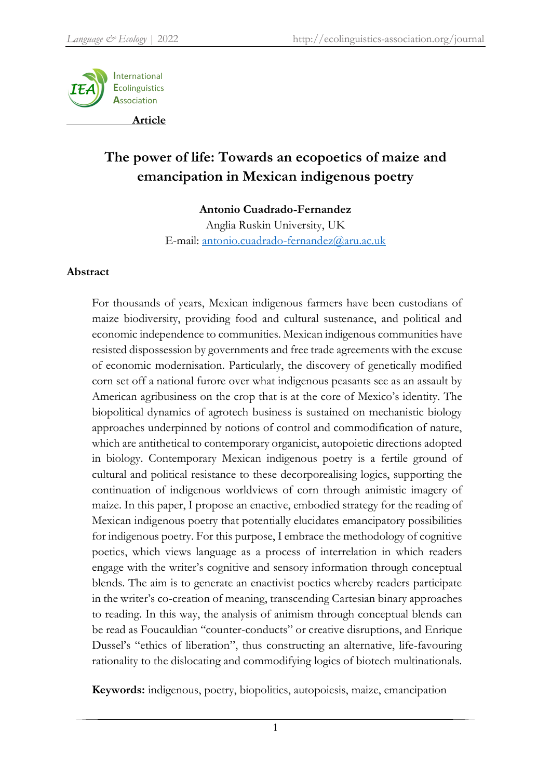

# **The power of life: Towards an ecopoetics of maize and emancipation in Mexican indigenous poetry**

# **Antonio Cuadrado-Fernandez**

Anglia Ruskin University, UK E-mail: [antonio.cuadrado-fernandez@aru.ac.uk](mailto:antonio.cuadrado-fernandez@aru.ac.uk)

### **Abstract**

For thousands of years, Mexican indigenous farmers have been custodians of maize biodiversity, providing food and cultural sustenance, and political and economic independence to communities. Mexican indigenous communities have resisted dispossession by governments and free trade agreements with the excuse of economic modernisation. Particularly, the discovery of genetically modified corn set off a national furore over what indigenous peasants see as an assault by American agribusiness on the crop that is at the core of Mexico's identity. The biopolitical dynamics of agrotech business is sustained on mechanistic biology approaches underpinned by notions of control and commodification of nature, which are antithetical to contemporary organicist, autopoietic directions adopted in biology. Contemporary Mexican indigenous poetry is a fertile ground of cultural and political resistance to these decorporealising logics, supporting the continuation of indigenous worldviews of corn through animistic imagery of maize. In this paper, I propose an enactive, embodied strategy for the reading of Mexican indigenous poetry that potentially elucidates emancipatory possibilities for indigenous poetry. For this purpose, I embrace the methodology of cognitive poetics, which views language as a process of interrelation in which readers engage with the writer's cognitive and sensory information through conceptual blends. The aim is to generate an enactivist poetics whereby readers participate in the writer's co-creation of meaning, transcending Cartesian binary approaches to reading. In this way, the analysis of animism through conceptual blends can be read as Foucauldian "counter-conducts" or creative disruptions, and Enrique Dussel's "ethics of liberation", thus constructing an alternative, life-favouring rationality to the dislocating and commodifying logics of biotech multinationals.

**Keywords:** indigenous, poetry, biopolitics, autopoiesis, maize, emancipation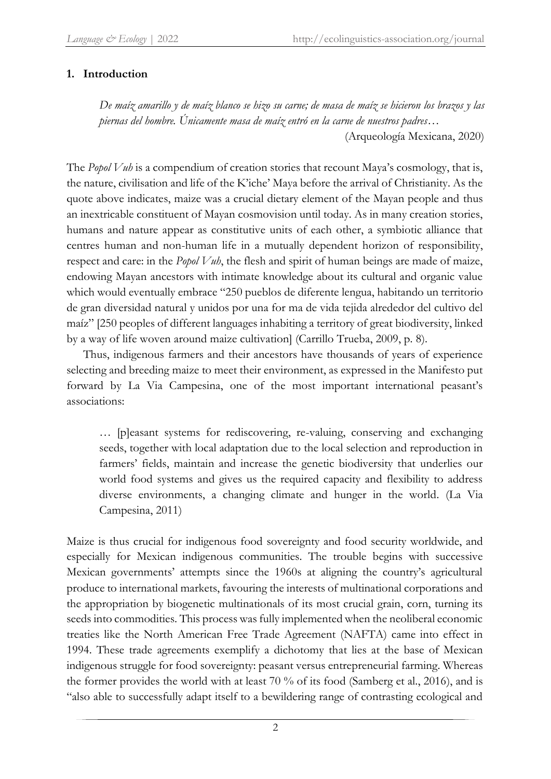# **1. Introduction**

*De maíz amarillo y de maíz blanco se hizo su carne; de masa de maíz se hicieron los brazos y las piernas del hombre. Únicamente masa de maíz entró en la carne de nuestros padres*…

(Arqueología Mexicana, 2020)

The *Popol Vuh* is a compendium of creation stories that recount Maya's cosmology, that is, the nature, civilisation and life of the K'iche' Maya before the arrival of Christianity. As the quote above indicates, maize was a crucial dietary element of the Mayan people and thus an inextricable constituent of Mayan cosmovision until today. As in many creation stories, humans and nature appear as constitutive units of each other, a symbiotic alliance that centres human and non-human life in a mutually dependent horizon of responsibility, respect and care: in the *Popol Vuh*, the flesh and spirit of human beings are made of maize, endowing Mayan ancestors with intimate knowledge about its cultural and organic value which would eventually embrace "250 pueblos de diferente lengua, habitando un territorio de gran diversidad natural y unidos por una for ma de vida tejida alrededor del cultivo del maíz" [250 peoples of different languages inhabiting a territory of great biodiversity, linked by a way of life woven around maize cultivation] (Carrillo Trueba, 2009, p. 8).

Thus, indigenous farmers and their ancestors have thousands of years of experience selecting and breeding maize to meet their environment, as expressed in the Manifesto put forward by La Via Campesina, one of the most important international peasant's associations:

… [p]easant systems for rediscovering, re-valuing, conserving and exchanging seeds, together with local adaptation due to the local selection and reproduction in farmers' fields, maintain and increase the genetic biodiversity that underlies our world food systems and gives us the required capacity and flexibility to address diverse environments, a changing climate and hunger in the world. (La Via Campesina, 2011)

Maize is thus crucial for indigenous food sovereignty and food security worldwide, and especially for Mexican indigenous communities. The trouble begins with successive Mexican governments' attempts since the 1960s at aligning the country's agricultural produce to international markets, favouring the interests of multinational corporations and the appropriation by biogenetic multinationals of its most crucial grain, corn, turning its seeds into commodities. This process was fully implemented when the neoliberal economic treaties like the North American Free Trade Agreement (NAFTA) came into effect in 1994. These trade agreements exemplify a dichotomy that lies at the base of Mexican indigenous struggle for food sovereignty: peasant versus entrepreneurial farming. Whereas the former provides the world with at least 70 % of its food (Samberg et al., 2016), and is "also able to successfully adapt itself to a bewildering range of contrasting ecological and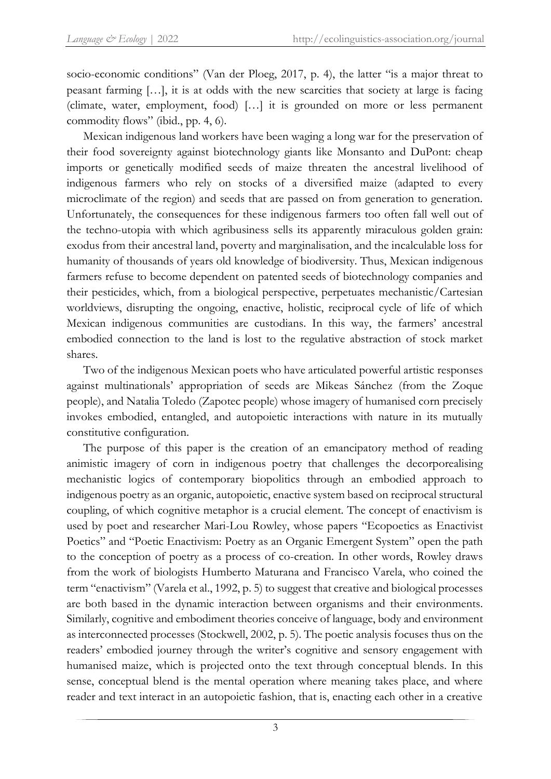socio-economic conditions" (Van der Ploeg, 2017, p. 4), the latter "is a major threat to peasant farming […], it is at odds with the new scarcities that society at large is facing (climate, water, employment, food) […] it is grounded on more or less permanent commodity flows" (ibid., pp. 4, 6).

Mexican indigenous land workers have been waging a long war for the preservation of their food sovereignty against biotechnology giants like Monsanto and DuPont: cheap imports or genetically modified seeds of maize threaten the ancestral livelihood of indigenous farmers who rely on stocks of a diversified maize (adapted to every microclimate of the region) and seeds that are passed on from generation to generation. Unfortunately, the consequences for these indigenous farmers too often fall well out of the techno-utopia with which agribusiness sells its apparently miraculous golden grain: exodus from their ancestral land, poverty and marginalisation, and the incalculable loss for humanity of thousands of years old knowledge of biodiversity. Thus, Mexican indigenous farmers refuse to become dependent on patented seeds of biotechnology companies and their pesticides, which, from a biological perspective, perpetuates mechanistic/Cartesian worldviews, disrupting the ongoing, enactive, holistic, reciprocal cycle of life of which Mexican indigenous communities are custodians. In this way, the farmers' ancestral embodied connection to the land is lost to the regulative abstraction of stock market shares.

Two of the indigenous Mexican poets who have articulated powerful artistic responses against multinationals' appropriation of seeds are Mikeas Sánchez (from the Zoque people), and Natalia Toledo (Zapotec people) whose imagery of humanised corn precisely invokes embodied, entangled, and autopoietic interactions with nature in its mutually constitutive configuration.

The purpose of this paper is the creation of an emancipatory method of reading animistic imagery of corn in indigenous poetry that challenges the decorporealising mechanistic logics of contemporary biopolitics through an embodied approach to indigenous poetry as an organic, autopoietic, enactive system based on reciprocal structural coupling, of which cognitive metaphor is a crucial element. The concept of enactivism is used by poet and researcher Mari-Lou Rowley, whose papers "Ecopoetics as Enactivist Poetics" and "Poetic Enactivism: Poetry as an Organic Emergent System" open the path to the conception of poetry as a process of co-creation. In other words, Rowley draws from the work of biologists Humberto Maturana and Francisco Varela, who coined the term "enactivism" (Varela et al., 1992, p. 5) to suggest that creative and biological processes are both based in the dynamic interaction between organisms and their environments. Similarly, cognitive and embodiment theories conceive of language, body and environment as interconnected processes (Stockwell, 2002, p. 5). The poetic analysis focuses thus on the readers' embodied journey through the writer's cognitive and sensory engagement with humanised maize, which is projected onto the text through conceptual blends. In this sense, conceptual blend is the mental operation where meaning takes place, and where reader and text interact in an autopoietic fashion, that is, enacting each other in a creative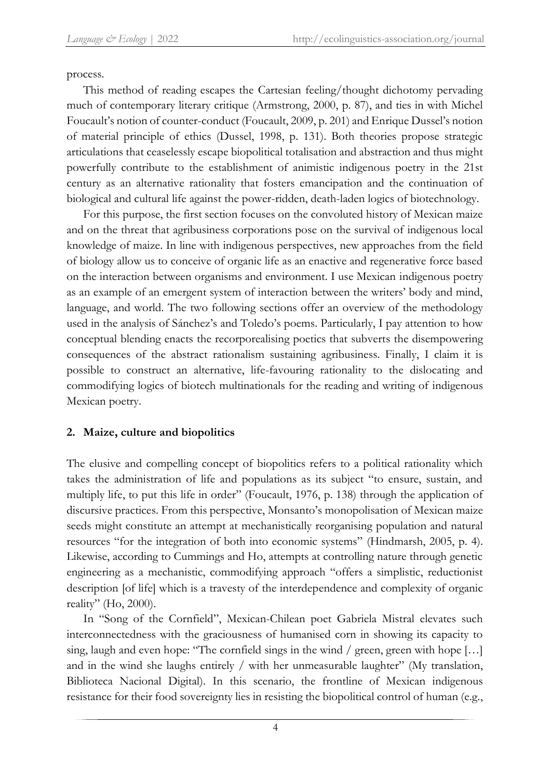process.

This method of reading escapes the Cartesian feeling/thought dichotomy pervading much of contemporary literary critique (Armstrong, 2000, p. 87), and ties in with Michel Foucault's notion of counter-conduct (Foucault, 2009, p. 201) and Enrique Dussel's notion of material principle of ethics (Dussel, 1998, p. 131). Both theories propose strategic articulations that ceaselessly escape biopolitical totalisation and abstraction and thus might powerfully contribute to the establishment of animistic indigenous poetry in the 21st century as an alternative rationality that fosters emancipation and the continuation of biological and cultural life against the power-ridden, death-laden logics of biotechnology.

For this purpose, the first section focuses on the convoluted history of Mexican maize and on the threat that agribusiness corporations pose on the survival of indigenous local knowledge of maize. In line with indigenous perspectives, new approaches from the field of biology allow us to conceive of organic life as an enactive and regenerative force based on the interaction between organisms and environment. I use Mexican indigenous poetry as an example of an emergent system of interaction between the writers' body and mind, language, and world. The two following sections offer an overview of the methodology used in the analysis of Sánchez's and Toledo's poems. Particularly, I pay attention to how conceptual blending enacts the recorporealising poetics that subverts the disempowering consequences of the abstract rationalism sustaining agribusiness. Finally, I claim it is possible to construct an alternative, life-favouring rationality to the dislocating and commodifying logics of biotech multinationals for the reading and writing of indigenous Mexican poetry.

# **2. Maize, culture and biopolitics**

The elusive and compelling concept of biopolitics refers to a political rationality which takes the administration of life and populations as its subject "to ensure, sustain, and multiply life, to put this life in order" (Foucault, 1976, p. 138) through the application of discursive practices. From this perspective, Monsanto's monopolisation of Mexican maize seeds might constitute an attempt at mechanistically reorganising population and natural resources "for the integration of both into economic systems" (Hindmarsh, 2005, p. 4). Likewise, according to Cummings and Ho, attempts at controlling nature through genetic engineering as a mechanistic, commodifying approach "offers a simplistic, reductionist description [of life] which is a travesty of the interdependence and complexity of organic reality" (Ho, 2000).

In "Song of the Cornfield", Mexican-Chilean poet Gabriela Mistral elevates such interconnectedness with the graciousness of humanised corn in showing its capacity to sing, laugh and even hope: "The cornfield sings in the wind / green, green with hope […] and in the wind she laughs entirely / with her unmeasurable laughter" (My translation, Biblioteca Nacional Digital). In this scenario, the frontline of Mexican indigenous resistance for their food sovereignty lies in resisting the biopolitical control of human (e.g.,

4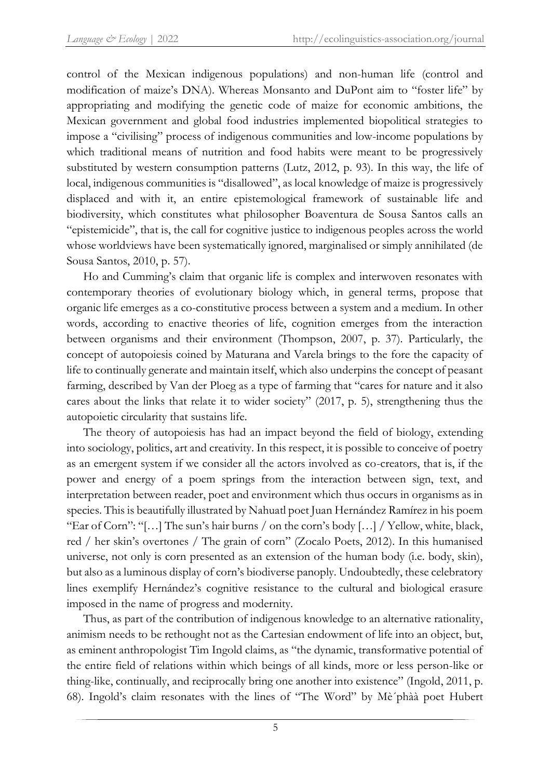control of the Mexican indigenous populations) and non-human life (control and modification of maize's DNA). Whereas Monsanto and DuPont aim to "foster life" by appropriating and modifying the genetic code of maize for economic ambitions, the Mexican government and global food industries implemented biopolitical strategies to impose a "civilising" process of indigenous communities and low-income populations by which traditional means of nutrition and food habits were meant to be progressively substituted by western consumption patterns (Lutz, 2012, p. 93). In this way, the life of local, indigenous communities is "disallowed", as local knowledge of maize is progressively displaced and with it, an entire epistemological framework of sustainable life and biodiversity, which constitutes what philosopher Boaventura de Sousa Santos calls an "epistemicide", that is, the call for cognitive justice to indigenous peoples across the world whose worldviews have been systematically ignored, marginalised or simply annihilated (de Sousa Santos, 2010, p. 57).

Ho and Cumming's claim that organic life is complex and interwoven resonates with contemporary theories of evolutionary biology which, in general terms, propose that organic life emerges as a co-constitutive process between a system and a medium. In other words, according to enactive theories of life, cognition emerges from the interaction between organisms and their environment (Thompson, 2007, p. 37). Particularly, the concept of autopoiesis coined by Maturana and Varela brings to the fore the capacity of life to continually generate and maintain itself, which also underpins the concept of peasant farming, described by Van der Ploeg as a type of farming that "cares for nature and it also cares about the links that relate it to wider society" (2017, p. 5), strengthening thus the autopoietic circularity that sustains life.

The theory of autopoiesis has had an impact beyond the field of biology, extending into sociology, politics, art and creativity. In this respect, it is possible to conceive of poetry as an emergent system if we consider all the actors involved as co-creators, that is, if the power and energy of a poem springs from the interaction between sign, text, and interpretation between reader, poet and environment which thus occurs in organisms as in species. This is beautifully illustrated by Nahuatl poet Juan Hernández Ramírez in his poem "Ear of Corn": "[...] The sun's hair burns / on the corn's body [...] / Yellow, white, black, red / her skin's overtones / The grain of corn" (Zocalo Poets, 2012). In this humanised universe, not only is corn presented as an extension of the human body (i.e. body, skin), but also as a luminous display of corn's biodiverse panoply. Undoubtedly, these celebratory lines exemplify Hernández's cognitive resistance to the cultural and biological erasure imposed in the name of progress and modernity.

Thus, as part of the contribution of indigenous knowledge to an alternative rationality, animism needs to be rethought not as the Cartesian endowment of life into an object, but, as eminent anthropologist Tim Ingold claims, as "the dynamic, transformative potential of the entire field of relations within which beings of all kinds, more or less person-like or thing-like, continually, and reciprocally bring one another into existence" (Ingold, 2011, p. 68). Ingold's claim resonates with the lines of "The Word" by Mè´phàà poet Hubert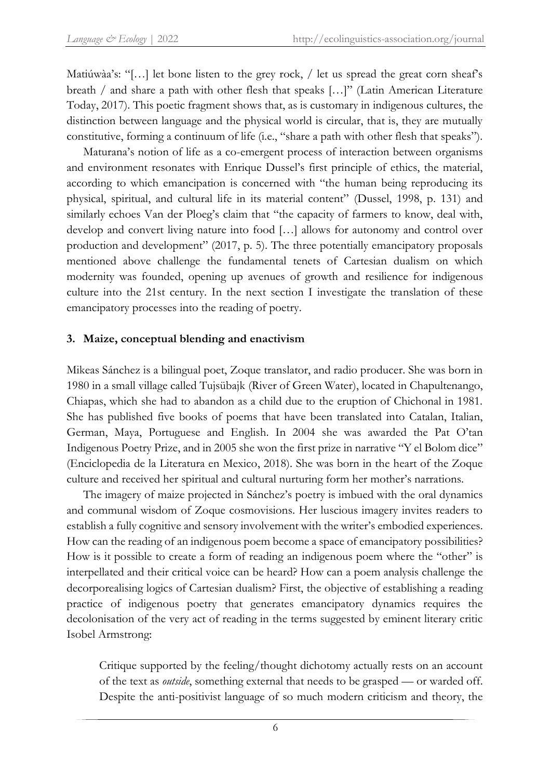Matiúwàa's: "[...] let bone listen to the grey rock, / let us spread the great corn sheaf's breath / and share a path with other flesh that speaks […]" (Latin American Literature Today, 2017). This poetic fragment shows that, as is customary in indigenous cultures, the distinction between language and the physical world is circular, that is, they are mutually constitutive, forming a continuum of life (i.e., "share a path with other flesh that speaks").

Maturana's notion of life as a co-emergent process of interaction between organisms and environment resonates with Enrique Dussel's first principle of ethics, the material, according to which emancipation is concerned with "the human being reproducing its physical, spiritual, and cultural life in its material content" (Dussel, 1998, p. 131) and similarly echoes Van der Ploeg's claim that "the capacity of farmers to know, deal with, develop and convert living nature into food […] allows for autonomy and control over production and development" (2017, p. 5). The three potentially emancipatory proposals mentioned above challenge the fundamental tenets of Cartesian dualism on which modernity was founded, opening up avenues of growth and resilience for indigenous culture into the 21st century. In the next section I investigate the translation of these emancipatory processes into the reading of poetry.

# **3. Maize, conceptual blending and enactivism**

Mikeas Sánchez is a bilingual poet, Zoque translator, and radio producer. She was born in 1980 in a small village called Tujsübajk (River of Green Water), located in Chapultenango, Chiapas, which she had to abandon as a child due to the eruption of Chichonal in 1981. She has published five books of poems that have been translated into Catalan, Italian, German, Maya, Portuguese and English. In 2004 she was awarded the Pat O'tan Indigenous Poetry Prize, and in 2005 she won the first prize in narrative "Y el Bolom dice" (Enciclopedia de la Literatura en Mexico, 2018). She was born in the heart of the Zoque culture and received her spiritual and cultural nurturing form her mother's narrations.

The imagery of maize projected in Sánchez's poetry is imbued with the oral dynamics and communal wisdom of Zoque cosmovisions. Her luscious imagery invites readers to establish a fully cognitive and sensory involvement with the writer's embodied experiences. How can the reading of an indigenous poem become a space of emancipatory possibilities? How is it possible to create a form of reading an indigenous poem where the "other" is interpellated and their critical voice can be heard? How can a poem analysis challenge the decorporealising logics of Cartesian dualism? First, the objective of establishing a reading practice of indigenous poetry that generates emancipatory dynamics requires the decolonisation of the very act of reading in the terms suggested by eminent literary critic Isobel Armstrong:

Critique supported by the feeling/thought dichotomy actually rests on an account of the text as *outside*, something external that needs to be grasped — or warded off. Despite the anti-positivist language of so much modern criticism and theory, the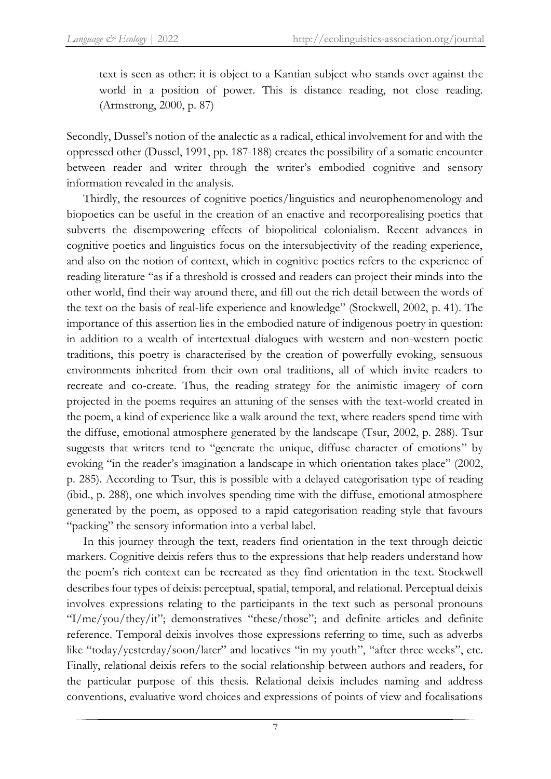text is seen as other: it is object to a Kantian subject who stands over against the world in a position of power. This is distance reading, not close reading. (Armstrong, 2000, p. 87)

Secondly, Dussel's notion of the analectic as a radical, ethical involvement for and with the oppressed other (Dussel, 1991, pp. 187-188) creates the possibility of a somatic encounter between reader and writer through the writer's embodied cognitive and sensory information revealed in the analysis.

Thirdly, the resources of cognitive poetics/linguistics and neurophenomenology and biopoetics can be useful in the creation of an enactive and recorporealising poetics that subverts the disempowering effects of biopolitical colonialism. Recent advances in cognitive poetics and linguistics focus on the intersubjectivity of the reading experience, and also on the notion of context, which in cognitive poetics refers to the experience of reading literature "as if a threshold is crossed and readers can project their minds into the other world, find their way around there, and fill out the rich detail between the words of the text on the basis of real-life experience and knowledge" (Stockwell, 2002, p. 41). The importance of this assertion lies in the embodied nature of indigenous poetry in question: in addition to a wealth of intertextual dialogues with western and non-western poetic traditions, this poetry is characterised by the creation of powerfully evoking, sensuous environments inherited from their own oral traditions, all of which invite readers to recreate and co-create. Thus, the reading strategy for the animistic imagery of corn projected in the poems requires an attuning of the senses with the text-world created in the poem, a kind of experience like a walk around the text, where readers spend time with the diffuse, emotional atmosphere generated by the landscape (Tsur, 2002, p. 288). Tsur suggests that writers tend to "generate the unique, diffuse character of emotions" by evoking "in the reader's imagination a landscape in which orientation takes place" (2002, p. 285). According to Tsur, this is possible with a delayed categorisation type of reading (ibid., p. 288), one which involves spending time with the diffuse, emotional atmosphere generated by the poem, as opposed to a rapid categorisation reading style that favours "packing" the sensory information into a verbal label.

In this journey through the text, readers find orientation in the text through deictic markers. Cognitive deixis refers thus to the expressions that help readers understand how the poem's rich context can be recreated as they find orientation in the text. Stockwell describes four types of deixis: perceptual, spatial, temporal, and relational. Perceptual deixis involves expressions relating to the participants in the text such as personal pronouns "I/me/you/they/it"; demonstratives "these/those"; and definite articles and definite reference. Temporal deixis involves those expressions referring to time, such as adverbs like "today/yesterday/soon/later" and locatives "in my youth", "after three weeks", etc. Finally, relational deixis refers to the social relationship between authors and readers, for the particular purpose of this thesis. Relational deixis includes naming and address conventions, evaluative word choices and expressions of points of view and focalisations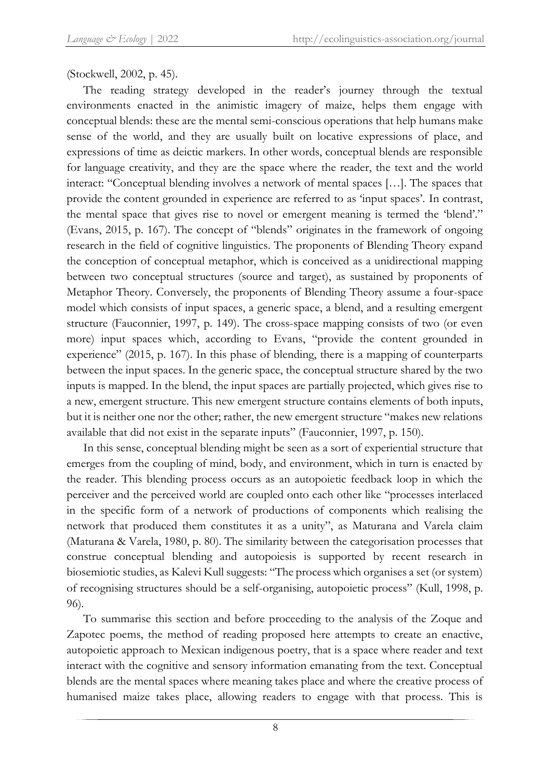(Stockwell, 2002, p. 45).

The reading strategy developed in the reader's journey through the textual environments enacted in the animistic imagery of maize, helps them engage with conceptual blends: these are the mental semi-conscious operations that help humans make sense of the world, and they are usually built on locative expressions of place, and expressions of time as deictic markers. In other words, conceptual blends are responsible for language creativity, and they are the space where the reader, the text and the world interact: "Conceptual blending involves a network of mental spaces […]. The spaces that provide the content grounded in experience are referred to as 'input spaces'. In contrast, the mental space that gives rise to novel or emergent meaning is termed the 'blend'." (Evans, 2015, p. 167). The concept of "blends" originates in the framework of ongoing research in the field of cognitive linguistics. The proponents of Blending Theory expand the conception of conceptual metaphor, which is conceived as a unidirectional mapping between two conceptual structures (source and target), as sustained by proponents of Metaphor Theory. Conversely, the proponents of Blending Theory assume a four-space model which consists of input spaces, a generic space, a blend, and a resulting emergent structure (Fauconnier, 1997, p. 149). The cross-space mapping consists of two (or even more) input spaces which, according to Evans, "provide the content grounded in experience" (2015, p. 167). In this phase of blending, there is a mapping of counterparts between the input spaces. In the generic space, the conceptual structure shared by the two inputs is mapped. In the blend, the input spaces are partially projected, which gives rise to a new, emergent structure. This new emergent structure contains elements of both inputs, but it is neither one nor the other; rather, the new emergent structure "makes new relations available that did not exist in the separate inputs" (Fauconnier, 1997, p. 150).

In this sense, conceptual blending might be seen as a sort of experiential structure that emerges from the coupling of mind, body, and environment, which in turn is enacted by the reader. This blending process occurs as an autopoietic feedback loop in which the perceiver and the perceived world are coupled onto each other like "processes interlaced in the specific form of a network of productions of components which realising the network that produced them constitutes it as a unity", as Maturana and Varela claim (Maturana & Varela, 1980, p. 80). The similarity between the categorisation processes that construe conceptual blending and autopoiesis is supported by recent research in biosemiotic studies, as Kalevi Kull suggests: "The process which organises a set (or system) of recognising structures should be a self-organising, autopoietic process" (Kull, 1998, p. 96).

To summarise this section and before proceeding to the analysis of the Zoque and Zapotec poems, the method of reading proposed here attempts to create an enactive, autopoietic approach to Mexican indigenous poetry, that is a space where reader and text interact with the cognitive and sensory information emanating from the text. Conceptual blends are the mental spaces where meaning takes place and where the creative process of humanised maize takes place, allowing readers to engage with that process. This is

8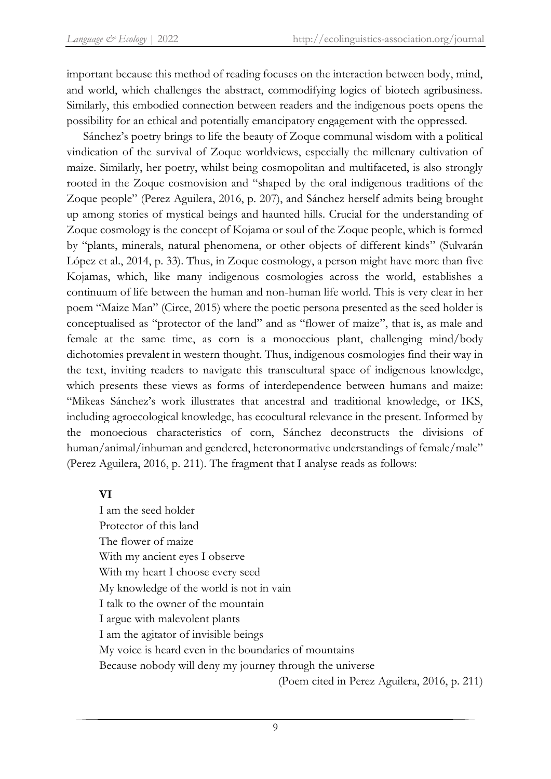important because this method of reading focuses on the interaction between body, mind, and world, which challenges the abstract, commodifying logics of biotech agribusiness. Similarly, this embodied connection between readers and the indigenous poets opens the possibility for an ethical and potentially emancipatory engagement with the oppressed.

Sánchez's poetry brings to life the beauty of Zoque communal wisdom with a political vindication of the survival of Zoque worldviews, especially the millenary cultivation of maize. Similarly, her poetry, whilst being cosmopolitan and multifaceted, is also strongly rooted in the Zoque cosmovision and "shaped by the oral indigenous traditions of the Zoque people" (Perez Aguilera, 2016, p. 207), and Sánchez herself admits being brought up among stories of mystical beings and haunted hills. Crucial for the understanding of Zoque cosmology is the concept of Kojama or soul of the Zoque people, which is formed by "plants, minerals, natural phenomena, or other objects of different kinds" (Sulvarán López et al., 2014, p. 33). Thus, in Zoque cosmology, a person might have more than five Kojamas, which, like many indigenous cosmologies across the world, establishes a continuum of life between the human and non-human life world. This is very clear in her poem "Maize Man" (Circe, 2015) where the poetic persona presented as the seed holder is conceptualised as "protector of the land" and as "flower of maize", that is, as male and female at the same time, as corn is a monoecious plant, challenging mind/body dichotomies prevalent in western thought. Thus, indigenous cosmologies find their way in the text, inviting readers to navigate this transcultural space of indigenous knowledge, which presents these views as forms of interdependence between humans and maize: "Mikeas Sánchez's work illustrates that ancestral and traditional knowledge, or IKS, including agroecological knowledge, has ecocultural relevance in the present. Informed by the monoecious characteristics of corn, Sánchez deconstructs the divisions of human/animal/inhuman and gendered, heteronormative understandings of female/male" (Perez Aguilera, 2016, p. 211). The fragment that I analyse reads as follows:

# **VI**

I am the seed holder Protector of this land The flower of maize With my ancient eyes I observe With my heart I choose every seed My knowledge of the world is not in vain I talk to the owner of the mountain I argue with malevolent plants I am the agitator of invisible beings My voice is heard even in the boundaries of mountains Because nobody will deny my journey through the universe (Poem cited in Perez Aguilera, 2016, p. 211)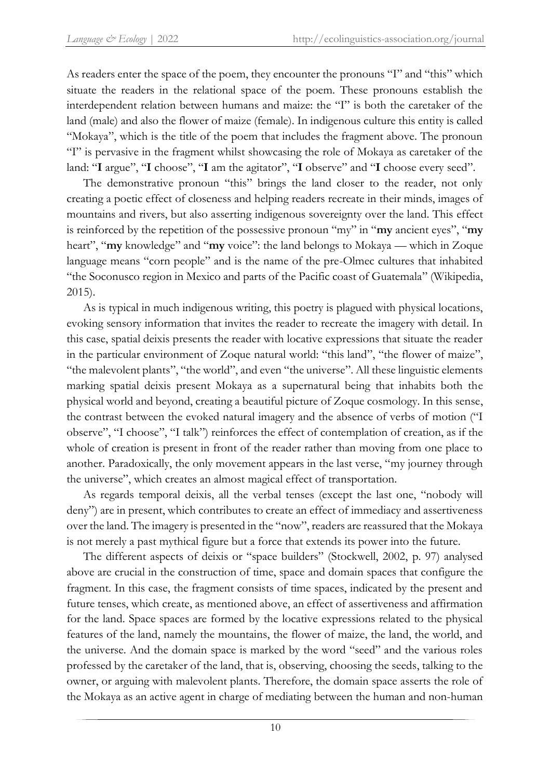As readers enter the space of the poem, they encounter the pronouns "I" and "this" which situate the readers in the relational space of the poem. These pronouns establish the interdependent relation between humans and maize: the "I" is both the caretaker of the land (male) and also the flower of maize (female). In indigenous culture this entity is called "Mokaya", which is the title of the poem that includes the fragment above. The pronoun "I" is pervasive in the fragment whilst showcasing the role of Mokaya as caretaker of the land: "**I** argue", "**I** choose", "**I** am the agitator", "**I** observe" and "**I** choose every seed".

The demonstrative pronoun "this" brings the land closer to the reader, not only creating a poetic effect of closeness and helping readers recreate in their minds, images of mountains and rivers, but also asserting indigenous sovereignty over the land. This effect is reinforced by the repetition of the possessive pronoun "my" in "**my** ancient eyes", "**my** heart", "**my** knowledge" and "**my** voice": the land belongs to Mokaya — which in Zoque language means "corn people" and is the name of the pre-Olmec cultures that inhabited "the Soconusco region in Mexico and parts of the Pacific coast of Guatemala" (Wikipedia, 2015).

As is typical in much indigenous writing, this poetry is plagued with physical locations, evoking sensory information that invites the reader to recreate the imagery with detail. In this case, spatial deixis presents the reader with locative expressions that situate the reader in the particular environment of Zoque natural world: "this land", "the flower of maize", "the malevolent plants", "the world", and even "the universe". All these linguistic elements marking spatial deixis present Mokaya as a supernatural being that inhabits both the physical world and beyond, creating a beautiful picture of Zoque cosmology. In this sense, the contrast between the evoked natural imagery and the absence of verbs of motion ("I observe", "I choose", "I talk") reinforces the effect of contemplation of creation, as if the whole of creation is present in front of the reader rather than moving from one place to another. Paradoxically, the only movement appears in the last verse, "my journey through the universe", which creates an almost magical effect of transportation.

As regards temporal deixis, all the verbal tenses (except the last one, "nobody will deny") are in present, which contributes to create an effect of immediacy and assertiveness over the land. The imagery is presented in the "now", readers are reassured that the Mokaya is not merely a past mythical figure but a force that extends its power into the future.

The different aspects of deixis or "space builders" (Stockwell, 2002, p. 97) analysed above are crucial in the construction of time, space and domain spaces that configure the fragment. In this case, the fragment consists of time spaces, indicated by the present and future tenses, which create, as mentioned above, an effect of assertiveness and affirmation for the land. Space spaces are formed by the locative expressions related to the physical features of the land, namely the mountains, the flower of maize, the land, the world, and the universe. And the domain space is marked by the word "seed" and the various roles professed by the caretaker of the land, that is, observing, choosing the seeds, talking to the owner, or arguing with malevolent plants. Therefore, the domain space asserts the role of the Mokaya as an active agent in charge of mediating between the human and non-human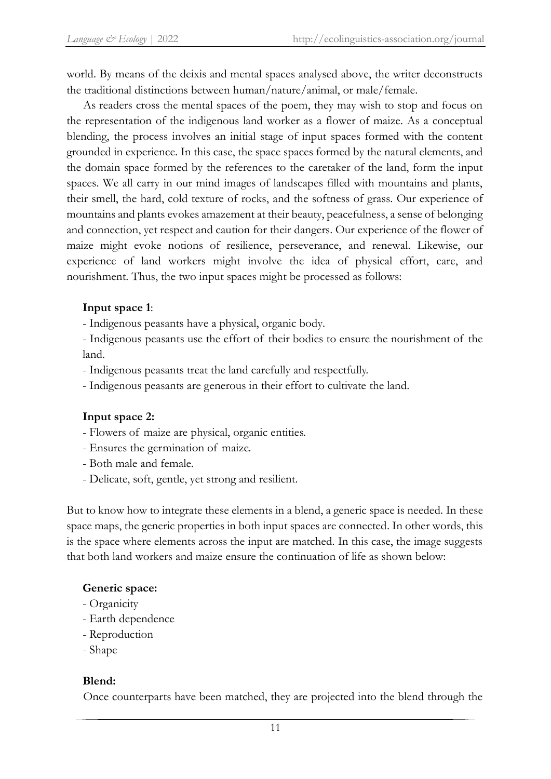world. By means of the deixis and mental spaces analysed above, the writer deconstructs the traditional distinctions between human/nature/animal, or male/female.

As readers cross the mental spaces of the poem, they may wish to stop and focus on the representation of the indigenous land worker as a flower of maize. As a conceptual blending, the process involves an initial stage of input spaces formed with the content grounded in experience. In this case, the space spaces formed by the natural elements, and the domain space formed by the references to the caretaker of the land, form the input spaces. We all carry in our mind images of landscapes filled with mountains and plants, their smell, the hard, cold texture of rocks, and the softness of grass. Our experience of mountains and plants evokes amazement at their beauty, peacefulness, a sense of belonging and connection, yet respect and caution for their dangers. Our experience of the flower of maize might evoke notions of resilience, perseverance, and renewal. Likewise, our experience of land workers might involve the idea of physical effort, care, and nourishment. Thus, the two input spaces might be processed as follows:

# **Input space 1**:

- Indigenous peasants have a physical, organic body.

- Indigenous peasants use the effort of their bodies to ensure the nourishment of the land.

- Indigenous peasants treat the land carefully and respectfully.

- Indigenous peasants are generous in their effort to cultivate the land.

# **Input space 2:**

- Flowers of maize are physical, organic entities.
- Ensures the germination of maize.
- Both male and female.
- Delicate, soft, gentle, yet strong and resilient.

But to know how to integrate these elements in a blend, a generic space is needed. In these space maps, the generic properties in both input spaces are connected. In other words, this is the space where elements across the input are matched. In this case, the image suggests that both land workers and maize ensure the continuation of life as shown below:

#### **Generic space:**

- Organicity
- Earth dependence
- Reproduction
- Shape

#### **Blend:**

Once counterparts have been matched, they are projected into the blend through the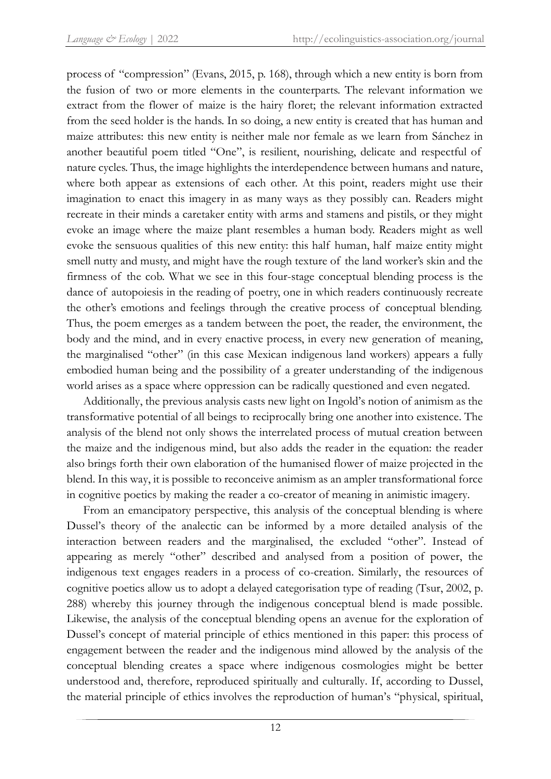process of "compression" (Evans, 2015, p. 168), through which a new entity is born from the fusion of two or more elements in the counterparts. The relevant information we extract from the flower of maize is the hairy floret; the relevant information extracted from the seed holder is the hands. In so doing, a new entity is created that has human and maize attributes: this new entity is neither male nor female as we learn from Sánchez in another beautiful poem titled "One", is resilient, nourishing, delicate and respectful of nature cycles. Thus, the image highlights the interdependence between humans and nature, where both appear as extensions of each other. At this point, readers might use their imagination to enact this imagery in as many ways as they possibly can. Readers might recreate in their minds a caretaker entity with arms and stamens and pistils, or they might evoke an image where the maize plant resembles a human body. Readers might as well evoke the sensuous qualities of this new entity: this half human, half maize entity might smell nutty and musty, and might have the rough texture of the land worker's skin and the firmness of the cob. What we see in this four-stage conceptual blending process is the dance of autopoiesis in the reading of poetry, one in which readers continuously recreate the other's emotions and feelings through the creative process of conceptual blending. Thus, the poem emerges as a tandem between the poet, the reader, the environment, the body and the mind, and in every enactive process, in every new generation of meaning, the marginalised "other" (in this case Mexican indigenous land workers) appears a fully embodied human being and the possibility of a greater understanding of the indigenous world arises as a space where oppression can be radically questioned and even negated.

Additionally, the previous analysis casts new light on Ingold's notion of animism as the transformative potential of all beings to reciprocally bring one another into existence. The analysis of the blend not only shows the interrelated process of mutual creation between the maize and the indigenous mind, but also adds the reader in the equation: the reader also brings forth their own elaboration of the humanised flower of maize projected in the blend. In this way, it is possible to reconceive animism as an ampler transformational force in cognitive poetics by making the reader a co-creator of meaning in animistic imagery.

From an emancipatory perspective, this analysis of the conceptual blending is where Dussel's theory of the analectic can be informed by a more detailed analysis of the interaction between readers and the marginalised, the excluded "other". Instead of appearing as merely "other" described and analysed from a position of power, the indigenous text engages readers in a process of co-creation. Similarly, the resources of cognitive poetics allow us to adopt a delayed categorisation type of reading (Tsur, 2002, p. 288) whereby this journey through the indigenous conceptual blend is made possible. Likewise, the analysis of the conceptual blending opens an avenue for the exploration of Dussel's concept of material principle of ethics mentioned in this paper: this process of engagement between the reader and the indigenous mind allowed by the analysis of the conceptual blending creates a space where indigenous cosmologies might be better understood and, therefore, reproduced spiritually and culturally. If, according to Dussel, the material principle of ethics involves the reproduction of human's "physical, spiritual,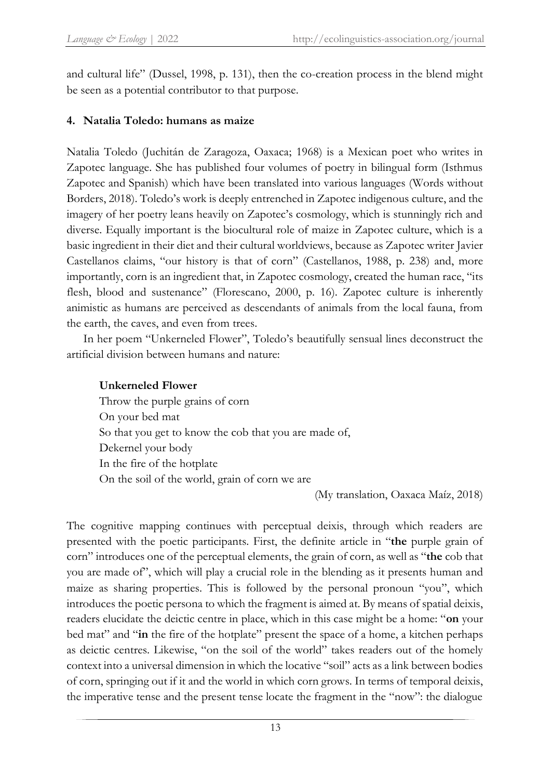and cultural life" (Dussel, 1998, p. 131), then the co-creation process in the blend might be seen as a potential contributor to that purpose.

# **4. Natalia Toledo: humans as maize**

Natalia Toledo (Juchitán de Zaragoza, Oaxaca; 1968) is a Mexican poet who writes in Zapotec language. She has published four volumes of poetry in bilingual form (Isthmus Zapotec and Spanish) which have been translated into various languages (Words without Borders, 2018). Toledo's work is deeply entrenched in Zapotec indigenous culture, and the imagery of her poetry leans heavily on Zapotec's cosmology, which is stunningly rich and diverse. Equally important is the biocultural role of maize in Zapotec culture, which is a basic ingredient in their diet and their cultural worldviews, because as Zapotec writer Javier Castellanos claims, "our history is that of corn" (Castellanos, 1988, p. 238) and, more importantly, corn is an ingredient that, in Zapotec cosmology, created the human race, "its flesh, blood and sustenance" (Florescano, 2000, p. 16). Zapotec culture is inherently animistic as humans are perceived as descendants of animals from the local fauna, from the earth, the caves, and even from trees.

In her poem "Unkerneled Flower", Toledo's beautifully sensual lines deconstruct the artificial division between humans and nature:

# **Unkerneled Flower**

Throw the purple grains of corn On your bed mat So that you get to know the cob that you are made of, Dekernel your body In the fire of the hotplate On the soil of the world, grain of corn we are

(My translation, Oaxaca Maíz, 2018)

The cognitive mapping continues with perceptual deixis, through which readers are presented with the poetic participants. First, the definite article in "**the** purple grain of corn" introduces one of the perceptual elements, the grain of corn, as well as "**the** cob that you are made of", which will play a crucial role in the blending as it presents human and maize as sharing properties. This is followed by the personal pronoun "you", which introduces the poetic persona to which the fragment is aimed at. By means of spatial deixis, readers elucidate the deictic centre in place, which in this case might be a home: "**on** your bed mat" and "**in** the fire of the hotplate" present the space of a home, a kitchen perhaps as deictic centres. Likewise, "on the soil of the world" takes readers out of the homely context into a universal dimension in which the locative "soil" acts as a link between bodies of corn, springing out if it and the world in which corn grows. In terms of temporal deixis, the imperative tense and the present tense locate the fragment in the "now": the dialogue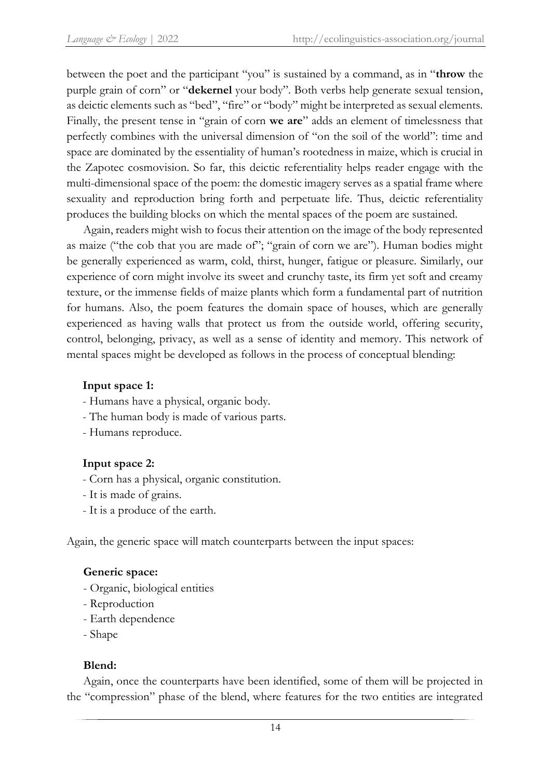between the poet and the participant "you" is sustained by a command, as in "**throw** the purple grain of corn" or "**dekernel** your body". Both verbs help generate sexual tension, as deictic elements such as "bed", "fire" or "body" might be interpreted as sexual elements. Finally, the present tense in "grain of corn **we are**" adds an element of timelessness that perfectly combines with the universal dimension of "on the soil of the world": time and space are dominated by the essentiality of human's rootedness in maize, which is crucial in the Zapotec cosmovision. So far, this deictic referentiality helps reader engage with the multi-dimensional space of the poem: the domestic imagery serves as a spatial frame where sexuality and reproduction bring forth and perpetuate life. Thus, deictic referentiality produces the building blocks on which the mental spaces of the poem are sustained.

Again, readers might wish to focus their attention on the image of the body represented as maize ("the cob that you are made of"; "grain of corn we are"). Human bodies might be generally experienced as warm, cold, thirst, hunger, fatigue or pleasure. Similarly, our experience of corn might involve its sweet and crunchy taste, its firm yet soft and creamy texture, or the immense fields of maize plants which form a fundamental part of nutrition for humans. Also, the poem features the domain space of houses, which are generally experienced as having walls that protect us from the outside world, offering security, control, belonging, privacy, as well as a sense of identity and memory. This network of mental spaces might be developed as follows in the process of conceptual blending:

# **Input space 1:**

- Humans have a physical, organic body.
- The human body is made of various parts.
- Humans reproduce.

# **Input space 2:**

- Corn has a physical, organic constitution.
- It is made of grains.
- It is a produce of the earth.

Again, the generic space will match counterparts between the input spaces:

#### **Generic space:**

- Organic, biological entities
- Reproduction
- Earth dependence
- Shape

#### **Blend:**

Again, once the counterparts have been identified, some of them will be projected in the "compression" phase of the blend, where features for the two entities are integrated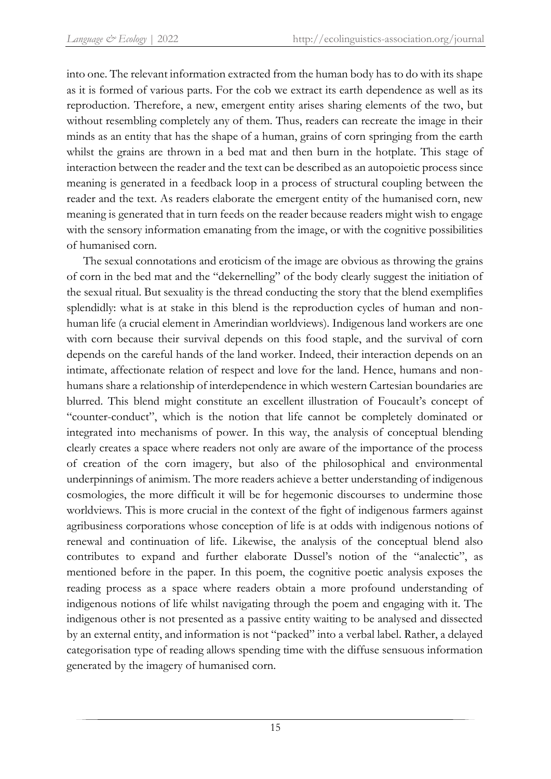into one. The relevant information extracted from the human body has to do with its shape as it is formed of various parts. For the cob we extract its earth dependence as well as its reproduction. Therefore, a new, emergent entity arises sharing elements of the two, but without resembling completely any of them. Thus, readers can recreate the image in their minds as an entity that has the shape of a human, grains of corn springing from the earth whilst the grains are thrown in a bed mat and then burn in the hotplate. This stage of interaction between the reader and the text can be described as an autopoietic process since meaning is generated in a feedback loop in a process of structural coupling between the reader and the text. As readers elaborate the emergent entity of the humanised corn, new meaning is generated that in turn feeds on the reader because readers might wish to engage with the sensory information emanating from the image, or with the cognitive possibilities of humanised corn.

The sexual connotations and eroticism of the image are obvious as throwing the grains of corn in the bed mat and the "dekernelling" of the body clearly suggest the initiation of the sexual ritual. But sexuality is the thread conducting the story that the blend exemplifies splendidly: what is at stake in this blend is the reproduction cycles of human and nonhuman life (a crucial element in Amerindian worldviews). Indigenous land workers are one with corn because their survival depends on this food staple, and the survival of corn depends on the careful hands of the land worker. Indeed, their interaction depends on an intimate, affectionate relation of respect and love for the land. Hence, humans and nonhumans share a relationship of interdependence in which western Cartesian boundaries are blurred. This blend might constitute an excellent illustration of Foucault's concept of "counter-conduct", which is the notion that life cannot be completely dominated or integrated into mechanisms of power. In this way, the analysis of conceptual blending clearly creates a space where readers not only are aware of the importance of the process of creation of the corn imagery, but also of the philosophical and environmental underpinnings of animism. The more readers achieve a better understanding of indigenous cosmologies, the more difficult it will be for hegemonic discourses to undermine those worldviews. This is more crucial in the context of the fight of indigenous farmers against agribusiness corporations whose conception of life is at odds with indigenous notions of renewal and continuation of life. Likewise, the analysis of the conceptual blend also contributes to expand and further elaborate Dussel's notion of the "analectic", as mentioned before in the paper. In this poem, the cognitive poetic analysis exposes the reading process as a space where readers obtain a more profound understanding of indigenous notions of life whilst navigating through the poem and engaging with it. The indigenous other is not presented as a passive entity waiting to be analysed and dissected by an external entity, and information is not "packed" into a verbal label. Rather, a delayed categorisation type of reading allows spending time with the diffuse sensuous information generated by the imagery of humanised corn.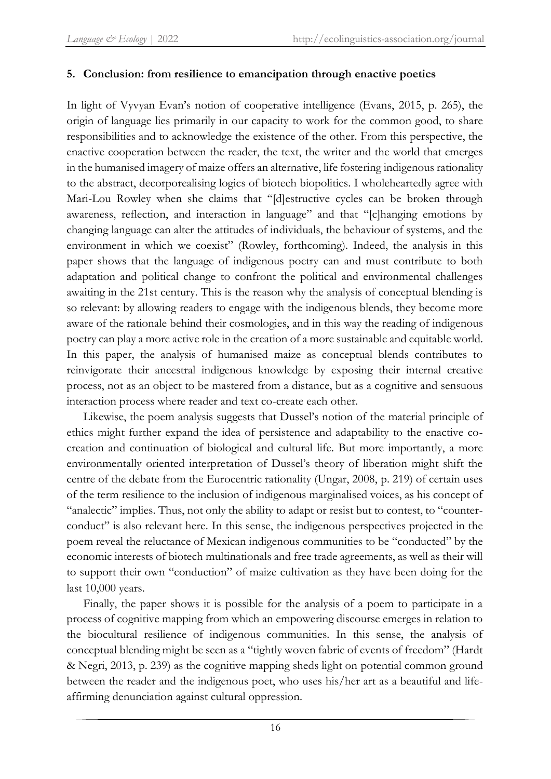# **5. Conclusion: from resilience to emancipation through enactive poetics**

In light of Vyvyan Evan's notion of cooperative intelligence (Evans, 2015, p. 265), the origin of language lies primarily in our capacity to work for the common good, to share responsibilities and to acknowledge the existence of the other. From this perspective, the enactive cooperation between the reader, the text, the writer and the world that emerges in the humanised imagery of maize offers an alternative, life fostering indigenous rationality to the abstract, decorporealising logics of biotech biopolitics. I wholeheartedly agree with Mari-Lou Rowley when she claims that "[d]estructive cycles can be broken through awareness, reflection, and interaction in language" and that "[c]hanging emotions by changing language can alter the attitudes of individuals, the behaviour of systems, and the environment in which we coexist" (Rowley, forthcoming). Indeed, the analysis in this paper shows that the language of indigenous poetry can and must contribute to both adaptation and political change to confront the political and environmental challenges awaiting in the 21st century. This is the reason why the analysis of conceptual blending is so relevant: by allowing readers to engage with the indigenous blends, they become more aware of the rationale behind their cosmologies, and in this way the reading of indigenous poetry can play a more active role in the creation of a more sustainable and equitable world. In this paper, the analysis of humanised maize as conceptual blends contributes to reinvigorate their ancestral indigenous knowledge by exposing their internal creative process, not as an object to be mastered from a distance, but as a cognitive and sensuous interaction process where reader and text co-create each other.

Likewise, the poem analysis suggests that Dussel's notion of the material principle of ethics might further expand the idea of persistence and adaptability to the enactive cocreation and continuation of biological and cultural life. But more importantly, a more environmentally oriented interpretation of Dussel's theory of liberation might shift the centre of the debate from the Eurocentric rationality (Ungar, 2008, p. 219) of certain uses of the term resilience to the inclusion of indigenous marginalised voices, as his concept of "analectic" implies. Thus, not only the ability to adapt or resist but to contest, to "counterconduct" is also relevant here. In this sense, the indigenous perspectives projected in the poem reveal the reluctance of Mexican indigenous communities to be "conducted" by the economic interests of biotech multinationals and free trade agreements, as well as their will to support their own "conduction" of maize cultivation as they have been doing for the last 10,000 years.

Finally, the paper shows it is possible for the analysis of a poem to participate in a process of cognitive mapping from which an empowering discourse emerges in relation to the biocultural resilience of indigenous communities. In this sense, the analysis of conceptual blending might be seen as a "tightly woven fabric of events of freedom" (Hardt & Negri, 2013, p. 239) as the cognitive mapping sheds light on potential common ground between the reader and the indigenous poet, who uses his/her art as a beautiful and lifeaffirming denunciation against cultural oppression.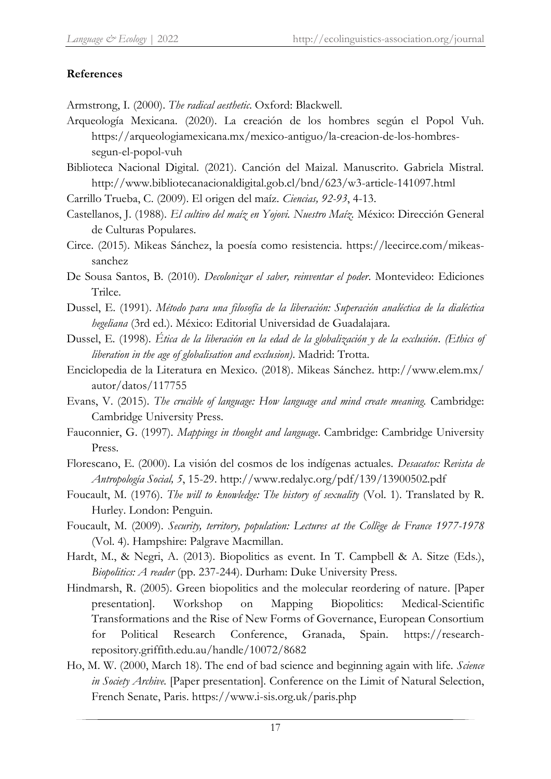# **References**

Armstrong, I. (2000). *The radical aesthetic*. Oxford: Blackwell.

- Arqueología Mexicana. (2020). La creación de los hombres según el Popol Vuh. https://arqueologiamexicana.mx/mexico-antiguo/la-creacion-de-los-hombressegun-el-popol-vuh
- Biblioteca Nacional Digital. (2021). Canción del Maizal. Manuscrito. Gabriela Mistral. http://www.bibliotecanacionaldigital.gob.cl/bnd/623/w3-article-141097.html

Carrillo Trueba, C. (2009). El origen del maíz. *Ciencias, 92-93*, 4-13.

- Castellanos, J. (1988). *El cultivo del maíz en Yojovi. Nuestro Maíz.* México: Dirección General de Culturas Populares.
- Circe. (2015). Mikeas Sánchez, la poesía como resistencia. https://leecirce.com/mikeassanchez
- De Sousa Santos, B. (2010). *Decolonizar el saber, reinventar el poder*. Montevideo: Ediciones Trilce.
- Dussel, E. (1991). *Método para una filosofía de la liberación: Superación analéctica de la dialéctica hegeliana* (3rd ed.). México: Editorial Universidad de Guadalajara.
- Dussel, E. (1998). *Ética de la liberación en la edad de la globalización y de la exclusión*. *(Ethics of liberation in the age of globalisation and exclusion)*. Madrid: Trotta.
- Enciclopedia de la Literatura en Mexico. (2018). Mikeas Sánchez. [http://www.elem.mx/](http://www.elem.mx/autor/datos/117755) [autor/datos/117755](http://www.elem.mx/autor/datos/117755)
- Evans, V. (2015). *The crucible of language: How language and mind create meaning.* Cambridge: Cambridge University Press.
- Fauconnier, G. (1997). *Mappings in thought and language*. Cambridge: Cambridge University Press.
- Florescano, E. (2000). La visión del cosmos de los indígenas actuales. *Desacatos: Revista de Antropología Social, 5*, 15-29. http://www.redalyc.org/pdf/139/13900502.pdf
- Foucault, M. (1976). *The will to knowledge: The history of sexuality* (Vol. 1). Translated by R. Hurley. London: Penguin.
- Foucault, M. (2009). *Security, territory, population: Lectures at the Collège de France 1977-1978* (Vol. 4). Hampshire: Palgrave Macmillan.
- Hardt, M., & Negri, A. (2013). Biopolitics as event. In T. Campbell & A. Sitze (Eds.), *Biopolitics: A reader* (pp. 237-244). Durham: Duke University Press.
- Hindmarsh, R. (2005). Green biopolitics and the molecular reordering of nature. [Paper presentation]. Workshop on Mapping Biopolitics: Medical-Scientific Transformations and the Rise of New Forms of Governance, European Consortium for Political Research Conference, Granada, Spain. https://researchrepository.griffith.edu.au/handle/10072/8682
- Ho, M. W. (2000, March 18). The end of bad science and beginning again with life. *Science in Society Archive.* [Paper presentation]*.* Conference on the Limit of Natural Selection, French Senate, Paris. https://www.i-sis.org.uk/paris.php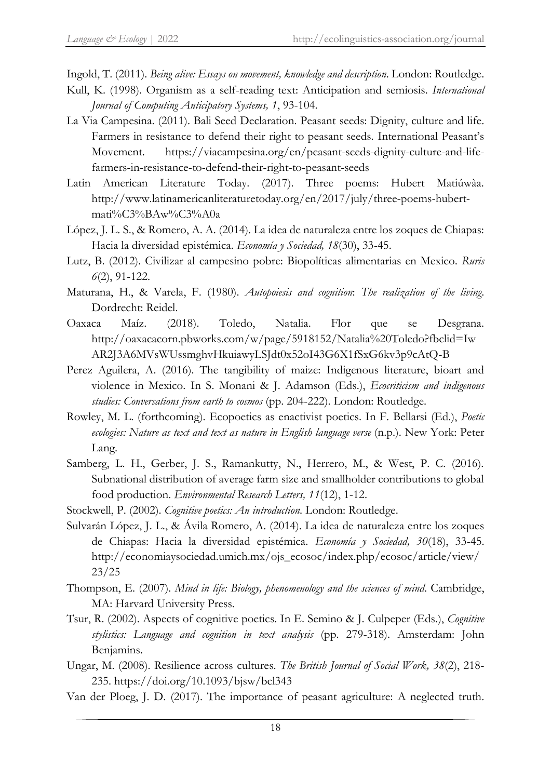Ingold, T. (2011). *Being alive: Essays on movement, knowledge and description*. London: Routledge.

- Kull, K. (1998). Organism as a self-reading text: Anticipation and semiosis. *International Journal of Computing Anticipatory Systems, 1*, 93-104.
- La Via Campesina. (2011). Bali Seed Declaration. Peasant seeds: Dignity, culture and life. Farmers in resistance to defend their right to peasant seeds. International Peasant's Movement. https://viacampesina.org/en/peasant-seeds-dignity-culture-and-lifefarmers-in-resistance-to-defend-their-right-to-peasant-seeds
- Latin American Literature Today. (2017). Three poems: Hubert Matiúwàa. http://www.latinamericanliteraturetoday.org/en/2017/july/three-poems-hubertmati%C3%BAw%C3%A0a
- López, J. L. S., & Romero, A. A. (2014). La idea de naturaleza entre los zoques de Chiapas: Hacia la diversidad epistémica. *Economía y Sociedad, 18*(30), 33-45.
- Lutz, B. (2012). Civilizar al campesino pobre: Biopolíticas alimentarias en Mexico. *Ruris 6*(2), 91-122.
- Maturana, H., & Varela, F. (1980). *Autopoiesis and cognition*: *The realization of the living*. Dordrecht: Reidel.
- Oaxaca Maíz. (2018). Toledo, Natalia. Flor que se Desgrana. http://oaxacacorn.pbworks.com/w/page/5918152/Natalia%20Toledo?fbclid=Iw AR2J3A6MVsWUssmghvHkuiawyLSJdt0x52oI43G6X1fSxG6kv3p9cAtQ-B
- Perez Aguilera, A. (2016). The tangibility of maize: Indigenous literature, bioart and violence in Mexico. In S. Monani & J. Adamson (Eds.), *Ecocriticism and indigenous studies: Conversations from earth to cosmos* (pp. 204-222). London: Routledge.
- Rowley, M. L. (forthcoming). Ecopoetics as enactivist poetics. In F. Bellarsi (Ed.), *Poetic ecologies: Nature as text and text as nature in English language verse* (n.p.). New York: Peter Lang.
- Samberg, L. H., Gerber, J. S., Ramankutty, N., Herrero, M., & West, P. C. (2016). Subnational distribution of average farm size and smallholder contributions to global food production. *Environmental Research Letters, 11*(12), 1-12.
- Stockwell, P. (2002). *Cognitive poetics: An introduction*. London: Routledge.
- Sulvarán López, J. L., & Ávila Romero, A. (2014). La idea de naturaleza entre los zoques de Chiapas: Hacia la diversidad epistémica. *Economía y Sociedad, 30*(18), 33-45. http://economiaysociedad.umich.mx/ojs\_ecosoc/index.php/ecosoc/article/view/ 23/25
- Thompson, E. (2007). *Mind in life: Biology, phenomenology and the sciences of mind*. Cambridge, MA: Harvard University Press.
- Tsur, R. (2002). Aspects of cognitive poetics. In E. Semino & J. Culpeper (Eds.), *Cognitive stylistics: Language and cognition in text analysis* (pp. 279-318). Amsterdam: John Benjamins.
- Ungar, M. (2008). Resilience across cultures. *The British Journal of Social Work, 38*(2), 218- 235. https://doi.org/10.1093/bjsw/bcl343
- Van der Ploeg, J. D. (2017). The importance of peasant agriculture: A neglected truth.